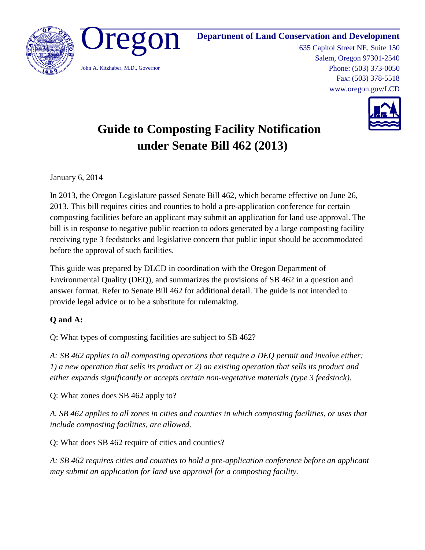

**Department of Land Conservation and Development**

635 Capitol Street NE, Suite 150 Salem, Oregon 97301-2540 Phone: (503) 373-0050 Fax: (503) 378-5518 www.oregon.gov/LCD



# **Guide to Composting Facility Notification under Senate Bill 462 (2013)**

January 6, 2014

In 2013, the Oregon Legislature passed Senate Bill 462, which became effective on June 26, 2013. This bill requires cities and counties to hold a pre-application conference for certain composting facilities before an applicant may submit an application for land use approval. The bill is in response to negative public reaction to odors generated by a large composting facility receiving type 3 feedstocks and legislative concern that public input should be accommodated before the approval of such facilities.

This guide was prepared by DLCD in coordination with the Oregon Department of Environmental Quality (DEQ), and summarizes the provisions of SB 462 in a question and answer format. Refer to Senate Bill 462 for additional detail. The guide is not intended to provide legal advice or to be a substitute for rulemaking.

## **Q and A:**

Q: What types of composting facilities are subject to SB 462?

*A: SB 462 applies to all composting operations that require a DEQ permit and involve either: 1) a new operation that sells its product or 2) an existing operation that sells its product and either expands significantly or accepts certain non-vegetative materials (type 3 feedstock).*

Q: What zones does SB 462 apply to?

*A. SB 462 applies to all zones in cities and counties in which composting facilities, or uses that include composting facilities, are allowed.* 

Q: What does SB 462 require of cities and counties?

*A: SB 462 requires cities and counties to hold a pre-application conference before an applicant may submit an application for land use approval for a composting facility.*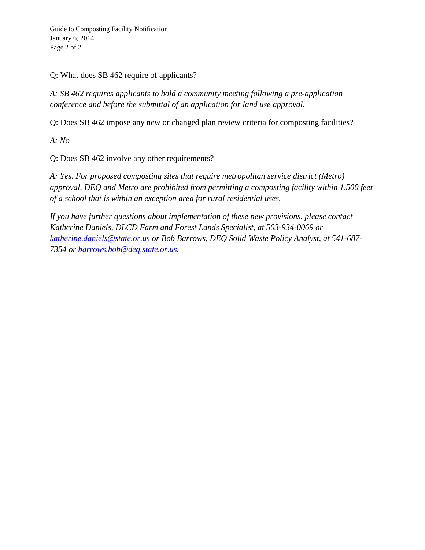Guide to Composting Facility Notification January 6, 2014 Page 2 of 2

Q: What does SB 462 require of applicants?

*A: SB 462 requires applicants to hold a community meeting following a pre-application conference and before the submittal of an application for land use approval.*

Q: Does SB 462 impose any new or changed plan review criteria for composting facilities?

*A: No*

Q: Does SB 462 involve any other requirements?

*A: Yes. For proposed composting sites that require metropolitan service district (Metro) approval, DEQ and Metro are prohibited from permitting a composting facility within 1,500 feet of a school that is within an exception area for rural residential uses.* 

*If you have further questions about implementation of these new provisions, please contact Katherine Daniels, DLCD Farm and Forest Lands Specialist, at 503-934-0069 or [katherine.daniels@state.or.us](mailto:katherine.daniels@state.or.us) or Bob Barrows, DEQ Solid Waste Policy Analyst, at 541-687- 7354 or [barrows.bob@deq.state.or.us.](mailto:barrows.bob@deq.state.or.us)*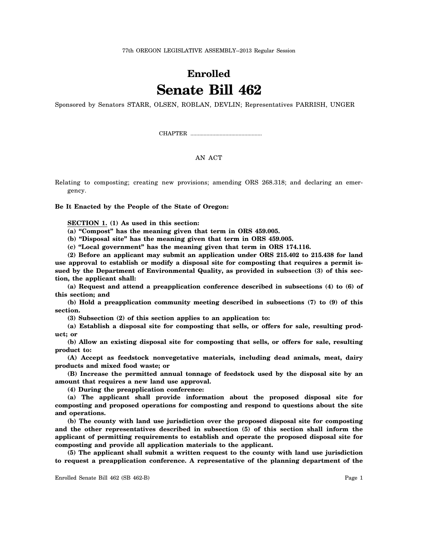## **Enrolled Senate Bill 462**

Sponsored by Senators STARR, OLSEN, ROBLAN, DEVLIN; Representatives PARRISH, UNGER

CHAPTER .................................................

### AN ACT

Relating to composting; creating new provisions; amending ORS 268.318; and declaring an emergency.

**Be It Enacted by the People of the State of Oregon:**

**SECTION 1. (1) As used in this section:**

**(a) "Compost" has the meaning given that term in ORS 459.005.**

**(b) "Disposal site" has the meaning given that term in ORS 459.005.**

**(c) "Local government" has the meaning given that term in ORS 174.116.**

**(2) Before an applicant may submit an application under ORS 215.402 to 215.438 for land use approval to establish or modify a disposal site for composting that requires a permit issued by the Department of Environmental Quality, as provided in subsection (3) of this section, the applicant shall:**

**(a) Request and attend a preapplication conference described in subsections (4) to (6) of this section; and**

**(b) Hold a preapplication community meeting described in subsections (7) to (9) of this section.**

**(3) Subsection (2) of this section applies to an application to:**

**(a) Establish a disposal site for composting that sells, or offers for sale, resulting product; or**

**(b) Allow an existing disposal site for composting that sells, or offers for sale, resulting product to:**

**(A) Accept as feedstock nonvegetative materials, including dead animals, meat, dairy products and mixed food waste; or**

**(B) Increase the permitted annual tonnage of feedstock used by the disposal site by an amount that requires a new land use approval.**

**(4) During the preapplication conference:**

**(a) The applicant shall provide information about the proposed disposal site for composting and proposed operations for composting and respond to questions about the site and operations.**

**(b) The county with land use jurisdiction over the proposed disposal site for composting and the other representatives described in subsection (5) of this section shall inform the applicant of permitting requirements to establish and operate the proposed disposal site for composting and provide all application materials to the applicant.**

**(5) The applicant shall submit a written request to the county with land use jurisdiction to request a preapplication conference. A representative of the planning department of the**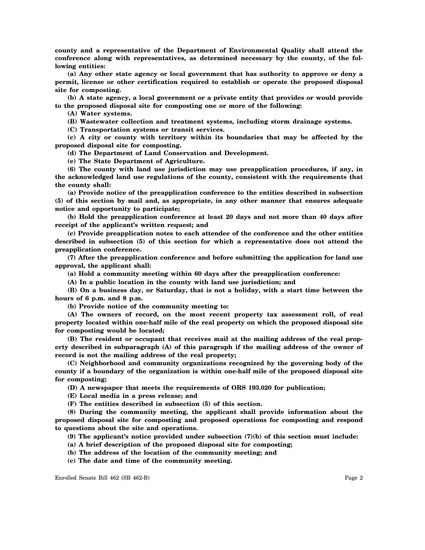**county and a representative of the Department of Environmental Quality shall attend the conference along with representatives, as determined necessary by the county, of the following entities:**

**(a) Any other state agency or local government that has authority to approve or deny a permit, license or other certification required to establish or operate the proposed disposal site for composting.**

**(b) A state agency, a local government or a private entity that provides or would provide to the proposed disposal site for composting one or more of the following:**

**(A) Water systems.**

**(B) Wastewater collection and treatment systems, including storm drainage systems.**

**(C) Transportation systems or transit services.**

**(c) A city or county with territory within its boundaries that may be affected by the proposed disposal site for composting.**

**(d) The Department of Land Conservation and Development.**

**(e) The State Department of Agriculture.**

**(6) The county with land use jurisdiction may use preapplication procedures, if any, in the acknowledged land use regulations of the county, consistent with the requirements that the county shall:**

**(a) Provide notice of the preapplication conference to the entities described in subsection (5) of this section by mail and, as appropriate, in any other manner that ensures adequate notice and opportunity to participate;**

**(b) Hold the preapplication conference at least 20 days and not more than 40 days after receipt of the applicant's written request; and**

**(c) Provide preapplication notes to each attendee of the conference and the other entities described in subsection (5) of this section for which a representative does not attend the preapplication conference.**

**(7) After the preapplication conference and before submitting the application for land use approval, the applicant shall:**

**(a) Hold a community meeting within 60 days after the preapplication conference:**

**(A) In a public location in the county with land use jurisdiction; and**

**(B) On a business day, or Saturday, that is not a holiday, with a start time between the hours of 6 p.m. and 8 p.m.**

**(b) Provide notice of the community meeting to:**

**(A) The owners of record, on the most recent property tax assessment roll, of real property located within one-half mile of the real property on which the proposed disposal site for composting would be located;**

**(B) The resident or occupant that receives mail at the mailing address of the real property described in subparagraph (A) of this paragraph if the mailing address of the owner of record is not the mailing address of the real property;**

**(C) Neighborhood and community organizations recognized by the governing body of the county if a boundary of the organization is within one-half mile of the proposed disposal site for composting;**

**(D) A newspaper that meets the requirements of ORS 193.020 for publication;**

**(E) Local media in a press release; and**

**(F) The entities described in subsection (5) of this section.**

**(8) During the community meeting, the applicant shall provide information about the proposed disposal site for composting and proposed operations for composting and respond to questions about the site and operations.**

**(9) The applicant's notice provided under subsection (7)(b) of this section must include:**

**(a) A brief description of the proposed disposal site for composting;**

**(b) The address of the location of the community meeting; and**

**(c) The date and time of the community meeting.**

Enrolled Senate Bill 462 (SB 462-B) Page 2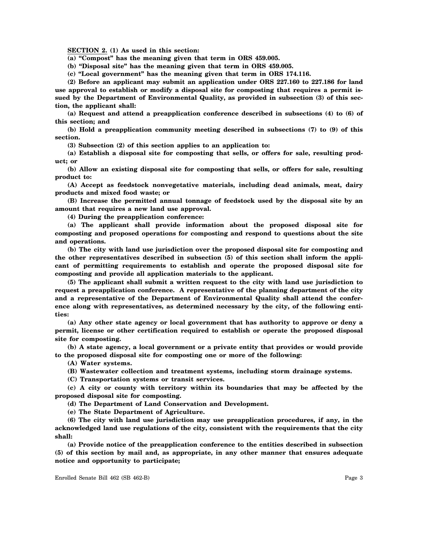**SECTION 2. (1) As used in this section:**

**(a) "Compost" has the meaning given that term in ORS 459.005.**

**(b) "Disposal site" has the meaning given that term in ORS 459.005.**

**(c) "Local government" has the meaning given that term in ORS 174.116.**

**(2) Before an applicant may submit an application under ORS 227.160 to 227.186 for land use approval to establish or modify a disposal site for composting that requires a permit issued by the Department of Environmental Quality, as provided in subsection (3) of this section, the applicant shall:**

**(a) Request and attend a preapplication conference described in subsections (4) to (6) of this section; and**

**(b) Hold a preapplication community meeting described in subsections (7) to (9) of this section.**

**(3) Subsection (2) of this section applies to an application to:**

**(a) Establish a disposal site for composting that sells, or offers for sale, resulting product; or**

**(b) Allow an existing disposal site for composting that sells, or offers for sale, resulting product to:**

**(A) Accept as feedstock nonvegetative materials, including dead animals, meat, dairy products and mixed food waste; or**

**(B) Increase the permitted annual tonnage of feedstock used by the disposal site by an amount that requires a new land use approval.**

**(4) During the preapplication conference:**

**(a) The applicant shall provide information about the proposed disposal site for composting and proposed operations for composting and respond to questions about the site and operations.**

**(b) The city with land use jurisdiction over the proposed disposal site for composting and the other representatives described in subsection (5) of this section shall inform the applicant of permitting requirements to establish and operate the proposed disposal site for composting and provide all application materials to the applicant.**

**(5) The applicant shall submit a written request to the city with land use jurisdiction to request a preapplication conference. A representative of the planning department of the city and a representative of the Department of Environmental Quality shall attend the conference along with representatives, as determined necessary by the city, of the following entities:**

**(a) Any other state agency or local government that has authority to approve or deny a permit, license or other certification required to establish or operate the proposed disposal site for composting.**

**(b) A state agency, a local government or a private entity that provides or would provide to the proposed disposal site for composting one or more of the following:**

**(A) Water systems.**

**(B) Wastewater collection and treatment systems, including storm drainage systems.**

**(C) Transportation systems or transit services.**

**(c) A city or county with territory within its boundaries that may be affected by the proposed disposal site for composting.**

**(d) The Department of Land Conservation and Development.**

**(e) The State Department of Agriculture.**

**(6) The city with land use jurisdiction may use preapplication procedures, if any, in the acknowledged land use regulations of the city, consistent with the requirements that the city shall:**

**(a) Provide notice of the preapplication conference to the entities described in subsection (5) of this section by mail and, as appropriate, in any other manner that ensures adequate notice and opportunity to participate;**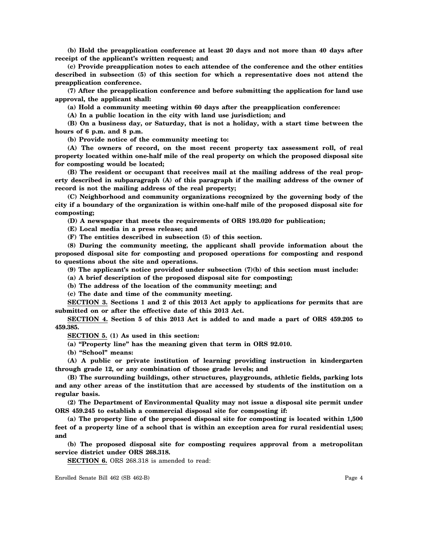**(b) Hold the preapplication conference at least 20 days and not more than 40 days after receipt of the applicant's written request; and**

**(c) Provide preapplication notes to each attendee of the conference and the other entities described in subsection (5) of this section for which a representative does not attend the preapplication conference.**

**(7) After the preapplication conference and before submitting the application for land use approval, the applicant shall:**

**(a) Hold a community meeting within 60 days after the preapplication conference:**

**(A) In a public location in the city with land use jurisdiction; and**

**(B) On a business day, or Saturday, that is not a holiday, with a start time between the hours of 6 p.m. and 8 p.m.**

**(b) Provide notice of the community meeting to:**

**(A) The owners of record, on the most recent property tax assessment roll, of real property located within one-half mile of the real property on which the proposed disposal site for composting would be located;**

**(B) The resident or occupant that receives mail at the mailing address of the real property described in subparagraph (A) of this paragraph if the mailing address of the owner of record is not the mailing address of the real property;**

**(C) Neighborhood and community organizations recognized by the governing body of the city if a boundary of the organization is within one-half mile of the proposed disposal site for composting;**

**(D) A newspaper that meets the requirements of ORS 193.020 for publication;**

**(E) Local media in a press release; and**

**(F) The entities described in subsection (5) of this section.**

**(8) During the community meeting, the applicant shall provide information about the proposed disposal site for composting and proposed operations for composting and respond to questions about the site and operations.**

**(9) The applicant's notice provided under subsection (7)(b) of this section must include:**

**(a) A brief description of the proposed disposal site for composting;**

**(b) The address of the location of the community meeting; and**

**(c) The date and time of the community meeting.**

**SECTION 3. Sections 1 and 2 of this 2013 Act apply to applications for permits that are submitted on or after the effective date of this 2013 Act.**

**SECTION 4. Section 5 of this 2013 Act is added to and made a part of ORS 459.205 to 459.385.**

**SECTION 5. (1) As used in this section:**

**(a) "Property line" has the meaning given that term in ORS 92.010.**

**(b) "School" means:**

**(A) A public or private institution of learning providing instruction in kindergarten through grade 12, or any combination of those grade levels; and**

**(B) The surrounding buildings, other structures, playgrounds, athletic fields, parking lots and any other areas of the institution that are accessed by students of the institution on a regular basis.**

**(2) The Department of Environmental Quality may not issue a disposal site permit under ORS 459.245 to establish a commercial disposal site for composting if:**

**(a) The property line of the proposed disposal site for composting is located within 1,500 feet of a property line of a school that is within an exception area for rural residential uses; and**

**(b) The proposed disposal site for composting requires approval from a metropolitan service district under ORS 268.318.**

**SECTION 6.** ORS 268.318 is amended to read:

Enrolled Senate Bill 462 (SB 462-B) Page 4